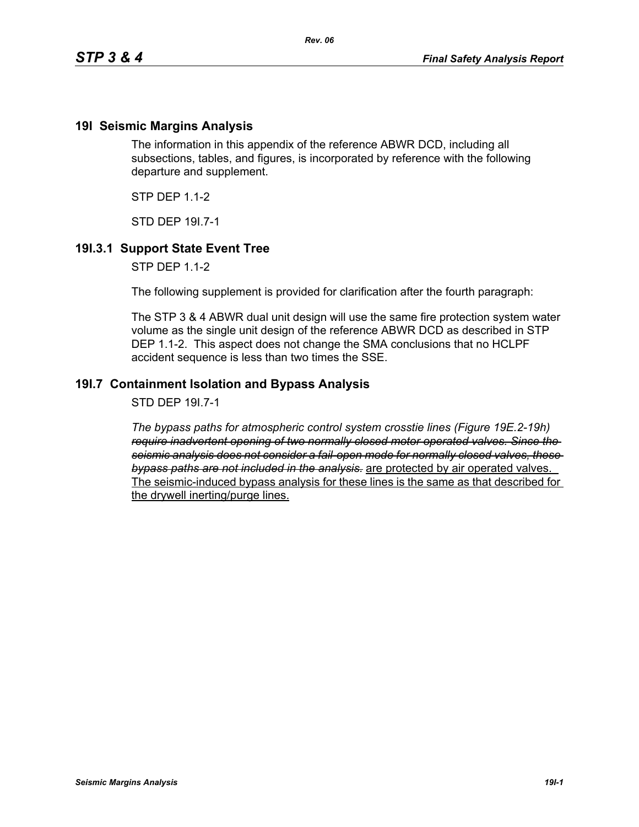## **19I Seismic Margins Analysis**

The information in this appendix of the reference ABWR DCD, including all subsections, tables, and figures, is incorporated by reference with the following departure and supplement.

 $STP$  DFP 11-2

STD DEP 19I.7-1

## **19I.3.1 Support State Event Tree**

STP DEP 1.1-2

The following supplement is provided for clarification after the fourth paragraph:

The STP 3 & 4 ABWR dual unit design will use the same fire protection system water volume as the single unit design of the reference ABWR DCD as described in STP DEP 1.1-2. This aspect does not change the SMA conclusions that no HCLPF accident sequence is less than two times the SSE.

## **19I.7 Containment Isolation and Bypass Analysis**

STD DEP 19I.7-1

*The bypass paths for atmospheric control system crosstie lines (Figure 19E.2-19h) require inadvertent opening of two normally closed motor operated valves. Since the seismic analysis does not consider a fail-open mode for normally closed valves, these bypass paths are not included in the analysis.* are protected by air operated valves. The seismic-induced bypass analysis for these lines is the same as that described for the drywell inerting/purge lines.